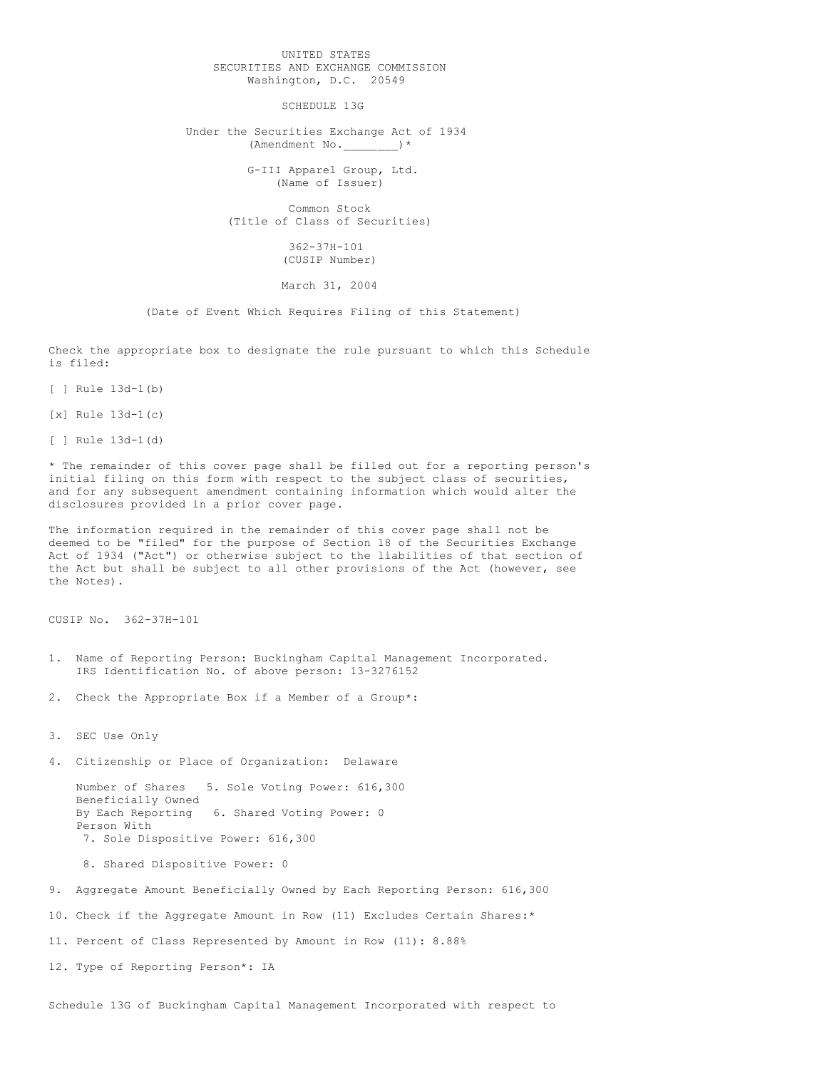## UNITED STATES SECURITIES AND EXCHANGE COMMISSION Washington, D.C. 20549

SCHEDULE 13G

Under the Securities Exchange Act of 1934 (Amendment No. )\*

> G-III Apparel Group, Ltd. (Name of Issuer)

Common Stock (Title of Class of Securities)

> 362-37H-101 (CUSIP Number)

## March 31, 2004

(Date of Event Which Requires Filing of this Statement)

Check the appropriate box to designate the rule pursuant to which this Schedule is filed:

[ ] Rule 13d-1(b)

[x] Rule 13d-1(c)

[ ] Rule 13d-1(d)

\* The remainder of this cover page shall be filled out for a reporting person's initial filing on this form with respect to the subject class of securities, and for any subsequent amendment containing information which would alter the disclosures provided in a prior cover page.

The information required in the remainder of this cover page shall not be deemed to be "filed" for the purpose of Section 18 of the Securities Exchange Act of 1934 ("Act") or otherwise subject to the liabilities of that section of the Act but shall be subject to all other provisions of the Act (however, see the Notes).

CUSIP No. 362-37H-101

- 1. Name of Reporting Person: Buckingham Capital Management Incorporated. IRS Identification No. of above person: 13-3276152
- 2. Check the Appropriate Box if a Member of a Group\*:

3. SEC Use Only

4. Citizenship or Place of Organization: Delaware

Number of Shares 5. Sole Voting Power: 616,300 Beneficially Owned<br>By Each Reporting 6. Shared Voting Power: 0 Person With 7. Sole Dispositive Power: 616,300

8. Shared Dispositive Power: 0

9. Aggregate Amount Beneficially Owned by Each Reporting Person: 616,300

10. Check if the Aggregate Amount in Row (11) Excludes Certain Shares:\*

11. Percent of Class Represented by Amount in Row (11): 8.88%

12. Type of Reporting Person\*: IA

Schedule 13G of Buckingham Capital Management Incorporated with respect to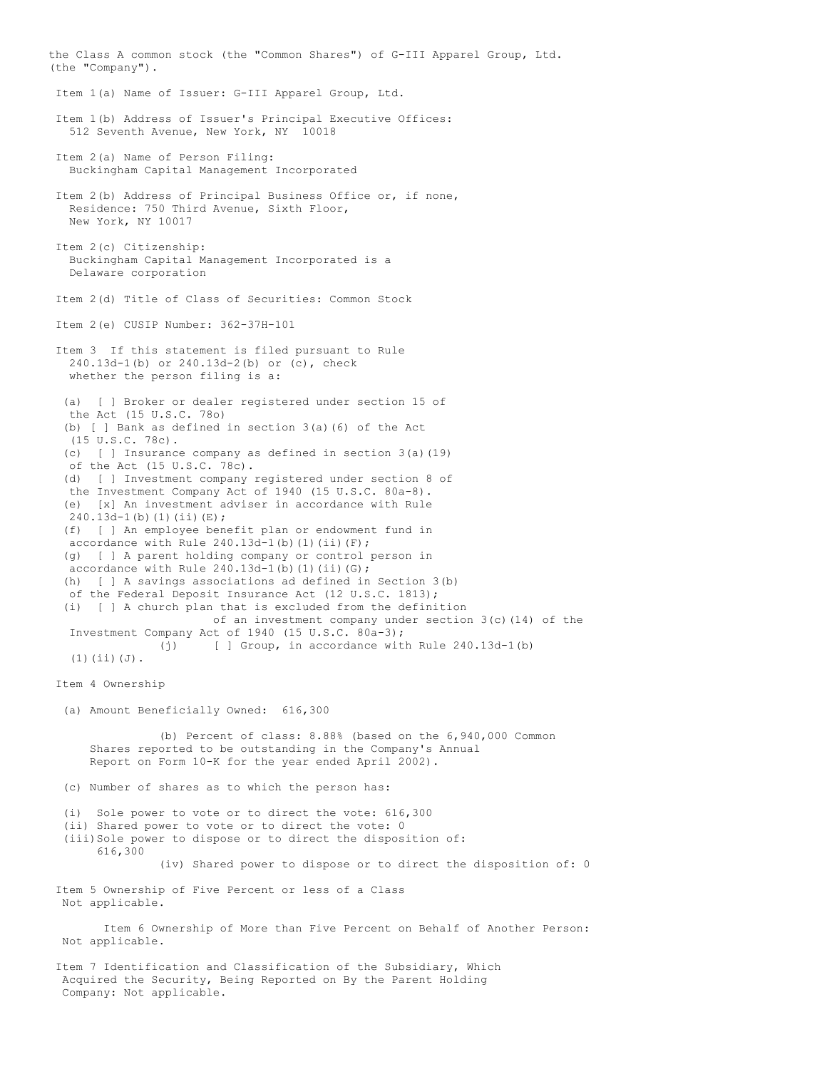the Class A common stock (the "Common Shares") of G-III Apparel Group, Ltd. (the "Company"). Item 1(a) Name of Issuer: G-III Apparel Group, Ltd. Item 1(b) Address of Issuer's Principal Executive Offices: 512 Seventh Avenue, New York, NY 10018 Item 2(a) Name of Person Filing: Buckingham Capital Management Incorporated Item 2(b) Address of Principal Business Office or, if none, Residence: 750 Third Avenue, Sixth Floor, New York, NY 10017 Item 2(c) Citizenship: Buckingham Capital Management Incorporated is a Delaware corporation Item 2(d) Title of Class of Securities: Common Stock Item 2(e) CUSIP Number: 362-37H-101 Item 3 If this statement is filed pursuant to Rule 240.13d-1(b) or 240.13d-2(b) or (c), check whether the person filing is a: (a) [ ] Broker or dealer registered under section 15 of the Act (15 U.S.C. 78o) (b) [ ] Bank as defined in section 3(a)(6) of the Act (15 U.S.C. 78c). (c) [ ] Insurance company as defined in section 3(a)(19) of the Act (15 U.S.C. 78c). (d) [ ] Investment company registered under section 8 of the Investment Company Act of 1940 (15 U.S.C. 80a-8). (e) [x] An investment adviser in accordance with Rule  $240.13d-1$  (b) (1) (ii)(E); (f) [ ] An employee benefit plan or endowment fund in accordance with Rule  $240.13d-1$ (b)(1)(ii)(F); (g) [ ] A parent holding company or control person in accordance with Rule  $240.13d-1$ (b)(1)(ii)(G); (h) [ ] A savings associations ad defined in Section 3(b) of the Federal Deposit Insurance Act (12 U.S.C. 1813); (i) [ ] A church plan that is excluded from the definition of an investment company under section  $3(c)(14)$  of the Investment Company Act of 1940 (15 U.S.C. 80a-3); (j) [ ] Group, in accordance with Rule 240.13d-1(b) (1)(ii)(J). Item 4 Ownership (a) Amount Beneficially Owned: 616,300 (b) Percent of class: 8.88% (based on the 6,940,000 Common Shares reported to be outstanding in the Company's Annual Report on Form 10-K for the year ended April 2002). (c) Number of shares as to which the person has: (i) Sole power to vote or to direct the vote: 616,300 (ii) Shared power to vote or to direct the vote: 0 (iii)Sole power to dispose or to direct the disposition of: 616,300 (iv) Shared power to dispose or to direct the disposition of: 0 Item 5 Ownership of Five Percent or less of a Class Not applicable. Item 6 Ownership of More than Five Percent on Behalf of Another Person: Not applicable. Item 7 Identification and Classification of the Subsidiary, Which Acquired the Security, Being Reported on By the Parent Holding Company: Not applicable.